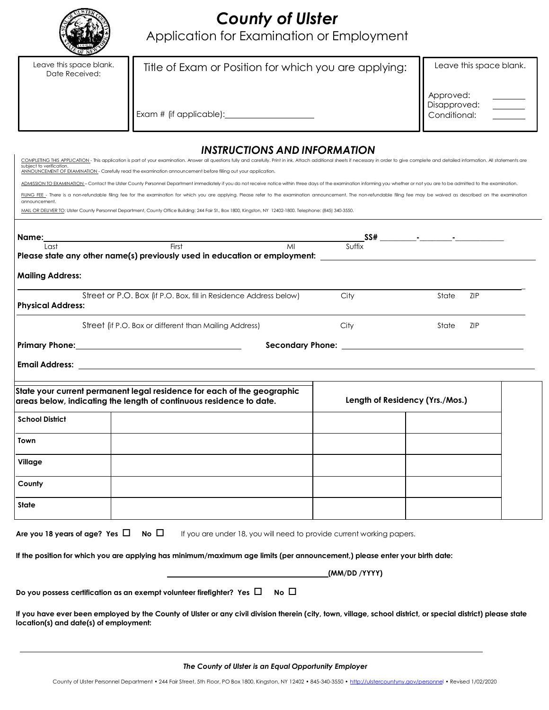

# *County of Ulster*

Application for Examination or Employment

| Leave this space blank.<br>Date Received:                                                                                                                                                                                                                                                                                                                                   | Title of Exam or Position for which you are applying: | Leave this space blank.                   |  |  |  |  |  |
|-----------------------------------------------------------------------------------------------------------------------------------------------------------------------------------------------------------------------------------------------------------------------------------------------------------------------------------------------------------------------------|-------------------------------------------------------|-------------------------------------------|--|--|--|--|--|
|                                                                                                                                                                                                                                                                                                                                                                             | Exam # (if applicable): ____                          | Approved:<br>Disapproved:<br>Conditional: |  |  |  |  |  |
| <b>INSTRUCTIONS AND INFORMATION</b>                                                                                                                                                                                                                                                                                                                                         |                                                       |                                           |  |  |  |  |  |
| COMPLETING THIS APPLICATION - This application is part of your examination. Answer all questions fully and carefully. Print in ink. Attach additional sheets if necessary in order to give complete and detailed information.<br>subject to verification.<br>ANNOUNCEMENT OF EXAMINATION - Carefully read the examination announcement before filling out your application. |                                                       |                                           |  |  |  |  |  |
| ADMISSION TO EXAMNATION - Contact the Ulster County Personnel Department immediately if you do not receive notice within three days of the examination informing you whether or not you are to be admitted to the examination.                                                                                                                                              |                                                       |                                           |  |  |  |  |  |
| FILING FEE - There is a non-refundable filing fee for the examination for which you are applying. Please refer to the examination announcement. The non-refundable filing fee may be waived as described on the examination<br>announcement.                                                                                                                                |                                                       |                                           |  |  |  |  |  |

MAIL OR DELIVER TO: Ulster County Personnel Department, County Office Building: 244 Fair St., Box 1800, Kingston, NY 12402-1800. Telephone: (845) 340-3550.

| Name:<br>Last            | First<br>MI                                                                                                                                    | Suffix                                                 |                                 |
|--------------------------|------------------------------------------------------------------------------------------------------------------------------------------------|--------------------------------------------------------|---------------------------------|
|                          | Please state any other name(s) previously used in education or employment: _________________________                                           |                                                        |                                 |
| <b>Mailing Address:</b>  |                                                                                                                                                |                                                        |                                 |
| <b>Physical Address:</b> | Street or P.O. Box (if P.O. Box, fill in Residence Address below)                                                                              | City                                                   | <b>ZIP</b><br>State             |
|                          | Street (if P.O. Box or different than Mailing Address)                                                                                         | City                                                   | <b>ZIP</b><br>State             |
|                          | Primary Phone: 2008 2010 2010 2021 2022 2023 2024 2022 2022 2023 2024 2022 2023 2024 2022 2023 2024 2022 2023                                  | Secondary Phone: <u>______________________________</u> |                                 |
|                          |                                                                                                                                                |                                                        |                                 |
|                          |                                                                                                                                                |                                                        |                                 |
|                          |                                                                                                                                                |                                                        |                                 |
|                          | State your current permanent legal residence for each of the geographic<br>areas below, indicating the length of continuous residence to date. |                                                        | Length of Residency (Yrs./Mos.) |
| <b>School District</b>   |                                                                                                                                                |                                                        |                                 |
| Town                     |                                                                                                                                                |                                                        |                                 |
| Village                  |                                                                                                                                                |                                                        |                                 |
| County                   |                                                                                                                                                |                                                        |                                 |
| <b>State</b>             |                                                                                                                                                |                                                        |                                 |

**If the position for which you are applying has minimum/maximum age limits (per announcement,) please enter your birth date:**

|                                                                             |           | (MM/DD /YYYY) |
|-----------------------------------------------------------------------------|-----------|---------------|
| Do you possess certification as an exempt volunteer firefighter? Yes $\Box$ | $No \Box$ |               |

If you have ever been employed by the County of Ulster or any civil division therein (city, town, village, school district, or special district) please state **location(s) and date(s) of employment:**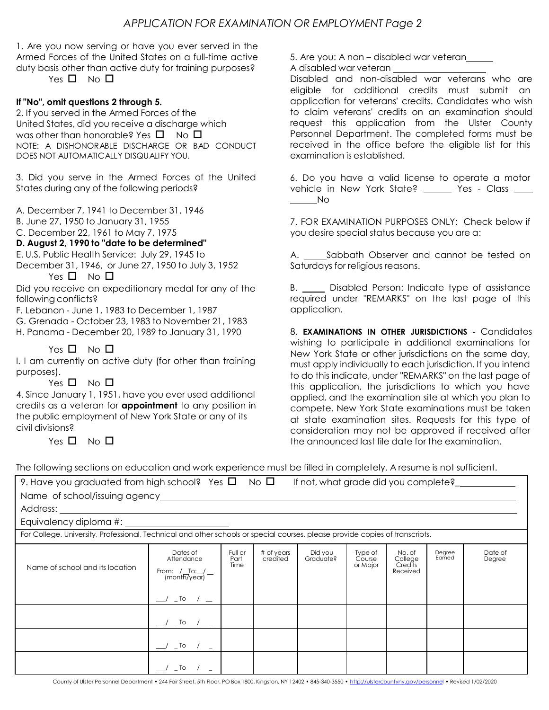1. Are you now serving or have you ever served in the Armed Forces of the United States on a full-time active duty basis other than active duty for training purposes?

Yes  $\Pi$  No  $\Pi$ 

## **If "No", omit questions 2 through 5.**

2. If you served in the Armed Forces of the United States, did you receive a discharge which was other than honorable? Yes  $\Box$  No  $\Box$ NOTE: A DISHONORABLE DISCHARGE OR BAD CONDUCT DOES NOT AUTOMATICALLY DISQUALIFY YOU.

3. Did you serve in the Armed Forces of the United States during any of the following periods?

A. December 7, 1941 to December 31, 1946

B. June 27, 1950 to January 31, 1955

C. December 22, 1961 to May 7, 1975

### **D. August 2, 1990 to "date to be determined"**

E. U.S. Public Health Service: July 29, 1945 to

December 31, 1946, or June 27, 1950 to July 3, 1952 Yes  $\square$  No  $\square$ 

following conflicts?

F. Lebanon - June 1, 1983 to December 1, 1987

- G. Grenada October 23, 1983 to November 21, 1983
- H. Panama December 20, 1989 to January 31, 1990

# Yes  $\square$  No  $\square$

I. I am currently on active duty (for other than training purposes).

### Yes  $\square$  No  $\square$

4. Since January 1, 1951, have you ever used additional credits as a veteran for **appointment** to any position in the public employment of New York State or any of its civil divisions?

Yes  $\square$  No  $\square$ 

5. Are you: A non – disabled war veteran

A disabled war veteran

Disabled and non-disabled war veterans who are eligible for additional credits must submit an application for veterans' credits. Candidates who wish to claim veterans' credits on an examination should request this application from the Ulster County Personnel Department. The completed forms must be received in the office before the eligible list for this examination is established.

6. Do you have a valid license to operate a motor vehicle in New York State? Yes - Class No

7. FOR EXAMINATION PURPOSES ONLY: Check below if you desire special status because you are a:

A. Sabbath Observer and cannot be tested on Saturdays for religious reasons.

Did you receive an expeditionary medal for any of the B. Comes Disabled Person: Indicate type of assistance required under "REMARKS" on the last page of this application.

> 8. **EXAMINATIONS IN OTHER JURISDICTIONS** - Candidates wishing to participate in additional examinations for New York State or other jurisdictions on the same day, must apply individually to each jurisdiction. If you intend to do this indicate, under "REMARKS" on the last page of this application, the jurisdictions to which you have applied, and the examination site at which you plan to compete. New York State examinations must be taken at state examination sites. Requests for this type of consideration may not be approved if received after the announced last file date for the examination.

The following sections on education and work experience must be filled in completely. A resume is not sufficient.

| 9. Have you graduated from high school? Yes $\square$ No $\square$                                                           |                                                                       |                         |                        | If not, what grade did you complete?_ |                               |                                          |                  |                   |
|------------------------------------------------------------------------------------------------------------------------------|-----------------------------------------------------------------------|-------------------------|------------------------|---------------------------------------|-------------------------------|------------------------------------------|------------------|-------------------|
|                                                                                                                              |                                                                       |                         |                        |                                       |                               |                                          |                  |                   |
| Address:                                                                                                                     |                                                                       |                         |                        |                                       |                               |                                          |                  |                   |
|                                                                                                                              |                                                                       |                         |                        |                                       |                               |                                          |                  |                   |
| For College, University, Professional, Technical and other schools or special courses, please provide copies of transcripts. |                                                                       |                         |                        |                                       |                               |                                          |                  |                   |
| Name of school and its location                                                                                              | Dates of<br>Attendance<br>From: $/$ To: $/$ - (month/year)<br>$\_$ To | Full or<br>Part<br>Time | # of years<br>credited | Did you<br>Graduate?                  | Type of<br>Course<br>or Major | No. of<br>College<br>Credits<br>Received | Degree<br>Earned | Date of<br>Degree |
|                                                                                                                              | $\_$ To $/$                                                           |                         |                        |                                       |                               |                                          |                  |                   |
|                                                                                                                              | $\_$ To $/$                                                           |                         |                        |                                       |                               |                                          |                  |                   |
|                                                                                                                              | $\_$ To                                                               |                         |                        |                                       |                               |                                          |                  |                   |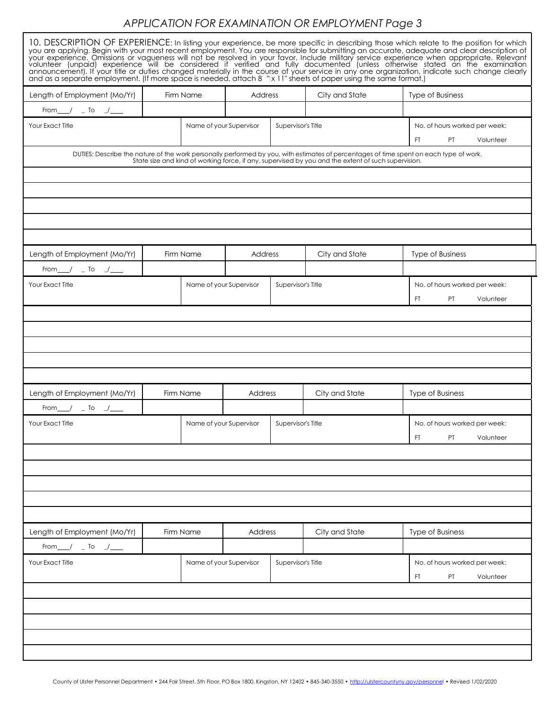# *APPLICATION FOR EXAMINATION OR EMPLOYMENT Page 3*

| and as a separate employment. (If more space is needed, attach 8 "x 11" sheets of paper using the same format.)                                                                                                                  |  |                         |                           |                    |                | 10. DESCRIPTION OF EXPERIENCE: In listing your experience, be more specific in describing those which relate to the position for which<br>you are applying. Begin with your most recent employment. You are responsible for submitting an accurate, adequate and clear description of<br>your experience. Omissions or vagueness will not be resolved in your favor. Includ<br>announcement). If your title or duties changed materially in the course of your service in any one organization, indicate such change clearly |  |
|----------------------------------------------------------------------------------------------------------------------------------------------------------------------------------------------------------------------------------|--|-------------------------|---------------------------|--------------------|----------------|------------------------------------------------------------------------------------------------------------------------------------------------------------------------------------------------------------------------------------------------------------------------------------------------------------------------------------------------------------------------------------------------------------------------------------------------------------------------------------------------------------------------------|--|
| Length of Employment (Mo/Yr)                                                                                                                                                                                                     |  | Firm Name               | Address<br>City and State |                    |                | <b>Type of Business</b>                                                                                                                                                                                                                                                                                                                                                                                                                                                                                                      |  |
| From $\frac{1}{\sqrt{2}}$ $\frac{1}{\sqrt{2}}$                                                                                                                                                                                   |  |                         |                           |                    |                |                                                                                                                                                                                                                                                                                                                                                                                                                                                                                                                              |  |
| Your Exact Title                                                                                                                                                                                                                 |  | Name of your Supervisor |                           | Supervisor's Title |                | No. of hours worked per week:<br><b>PT</b><br>Volunteer<br>FT.                                                                                                                                                                                                                                                                                                                                                                                                                                                               |  |
| DUTIES: Describe the nature of the work personally performed by you, with estimates of percentages of time spent on each type of work.<br>State size and kind of working force, if any, supervised by you and the extent of such |  |                         |                           |                    |                |                                                                                                                                                                                                                                                                                                                                                                                                                                                                                                                              |  |
|                                                                                                                                                                                                                                  |  |                         |                           |                    |                |                                                                                                                                                                                                                                                                                                                                                                                                                                                                                                                              |  |
|                                                                                                                                                                                                                                  |  |                         |                           |                    |                |                                                                                                                                                                                                                                                                                                                                                                                                                                                                                                                              |  |
|                                                                                                                                                                                                                                  |  |                         |                           |                    |                |                                                                                                                                                                                                                                                                                                                                                                                                                                                                                                                              |  |
|                                                                                                                                                                                                                                  |  |                         |                           |                    |                |                                                                                                                                                                                                                                                                                                                                                                                                                                                                                                                              |  |
| Length of Employment (Mo/Yr)                                                                                                                                                                                                     |  | Firm Name               | Address                   |                    | City and State | <b>Type of Business</b>                                                                                                                                                                                                                                                                                                                                                                                                                                                                                                      |  |
| From $\frac{1}{\sqrt{2}}$ To $\frac{1}{\sqrt{2}}$                                                                                                                                                                                |  |                         |                           |                    |                |                                                                                                                                                                                                                                                                                                                                                                                                                                                                                                                              |  |
| Your Exact Title                                                                                                                                                                                                                 |  | Name of your Supervisor |                           | Supervisor's Title |                | No. of hours worked per week:                                                                                                                                                                                                                                                                                                                                                                                                                                                                                                |  |
|                                                                                                                                                                                                                                  |  |                         |                           |                    |                | FT.<br><b>PT</b><br>Volunteer                                                                                                                                                                                                                                                                                                                                                                                                                                                                                                |  |
|                                                                                                                                                                                                                                  |  |                         |                           |                    |                |                                                                                                                                                                                                                                                                                                                                                                                                                                                                                                                              |  |
|                                                                                                                                                                                                                                  |  |                         |                           |                    |                |                                                                                                                                                                                                                                                                                                                                                                                                                                                                                                                              |  |
|                                                                                                                                                                                                                                  |  |                         |                           |                    |                |                                                                                                                                                                                                                                                                                                                                                                                                                                                                                                                              |  |
|                                                                                                                                                                                                                                  |  |                         |                           |                    |                |                                                                                                                                                                                                                                                                                                                                                                                                                                                                                                                              |  |
| Length of Employment (Mo/Yr)                                                                                                                                                                                                     |  | Firm Name               | Address                   |                    | City and State | <b>Type of Business</b>                                                                                                                                                                                                                                                                                                                                                                                                                                                                                                      |  |
| From $\frac{1}{\sqrt{2}}$ $\frac{1}{\sqrt{2}}$ To $\frac{1}{\sqrt{2}}$                                                                                                                                                           |  |                         |                           |                    |                |                                                                                                                                                                                                                                                                                                                                                                                                                                                                                                                              |  |
| Your Exact Title                                                                                                                                                                                                                 |  | Name of your Supervisor |                           | Supervisor's Title |                | No. of hours worked per week:                                                                                                                                                                                                                                                                                                                                                                                                                                                                                                |  |
|                                                                                                                                                                                                                                  |  |                         |                           |                    |                | FT PT Volunteer                                                                                                                                                                                                                                                                                                                                                                                                                                                                                                              |  |
|                                                                                                                                                                                                                                  |  |                         |                           |                    |                |                                                                                                                                                                                                                                                                                                                                                                                                                                                                                                                              |  |
|                                                                                                                                                                                                                                  |  |                         |                           |                    |                |                                                                                                                                                                                                                                                                                                                                                                                                                                                                                                                              |  |
|                                                                                                                                                                                                                                  |  |                         |                           |                    |                |                                                                                                                                                                                                                                                                                                                                                                                                                                                                                                                              |  |
|                                                                                                                                                                                                                                  |  |                         |                           |                    |                |                                                                                                                                                                                                                                                                                                                                                                                                                                                                                                                              |  |
|                                                                                                                                                                                                                                  |  |                         |                           |                    |                |                                                                                                                                                                                                                                                                                                                                                                                                                                                                                                                              |  |
| Length of Employment (Mo/Yr)                                                                                                                                                                                                     |  | Firm Name               | Address                   |                    | City and State | Type of Business                                                                                                                                                                                                                                                                                                                                                                                                                                                                                                             |  |
| From $\sqrt{2}$ To $\sqrt{2}$                                                                                                                                                                                                    |  |                         |                           |                    |                |                                                                                                                                                                                                                                                                                                                                                                                                                                                                                                                              |  |
| Your Exact Title                                                                                                                                                                                                                 |  | Name of your Supervisor |                           | Supervisor's Title |                | No. of hours worked per week:<br>FT.<br>PT<br>Volunteer                                                                                                                                                                                                                                                                                                                                                                                                                                                                      |  |
|                                                                                                                                                                                                                                  |  |                         |                           |                    |                |                                                                                                                                                                                                                                                                                                                                                                                                                                                                                                                              |  |
|                                                                                                                                                                                                                                  |  |                         |                           |                    |                |                                                                                                                                                                                                                                                                                                                                                                                                                                                                                                                              |  |
|                                                                                                                                                                                                                                  |  |                         |                           |                    |                |                                                                                                                                                                                                                                                                                                                                                                                                                                                                                                                              |  |
|                                                                                                                                                                                                                                  |  |                         |                           |                    |                |                                                                                                                                                                                                                                                                                                                                                                                                                                                                                                                              |  |
|                                                                                                                                                                                                                                  |  |                         |                           |                    |                |                                                                                                                                                                                                                                                                                                                                                                                                                                                                                                                              |  |